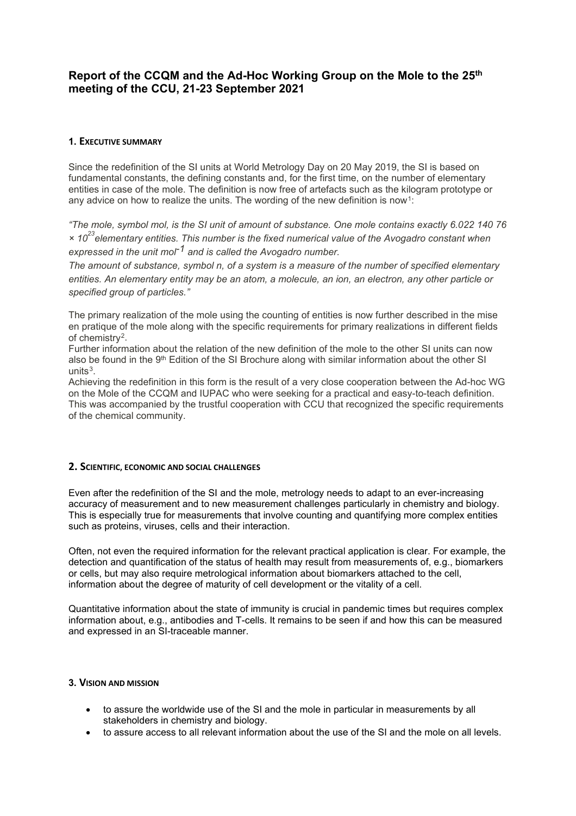# **Report of the CCQM and the Ad-Hoc Working Group on the Mole to the 25th meeting of the CCU, 21-23 September 2021**

### **1. EXECUTIVE SUMMARY**

Since the redefinition of the SI units at World Metrology Day on 20 May 2019, the SI is based on fundamental constants, the defining constants and, for the first time, on the number of elementary entities in case of the mole. The definition is now free of artefacts such as the kilogram prototype or any advice on how to realize the units. The wording of the new definition is now<sup>[1](#page-1-0)</sup>:

*"The mole, symbol mol, is the SI unit of amount of substance. One mole contains exactly 6.022 140 76 × 1023elementary entities. This number is the fixed numerical value of the Avogadro constant when expressed in the unit mol-1 and is called the Avogadro number.* 

*The amount of substance, symbol n, of a system is a measure of the number of specified elementary entities. An elementary entity may be an atom, a molecule, an ion, an electron, any other particle or specified group of particles."* 

The primary realization of the mole using the counting of entities is now further described in the mise en pratique of the mole along with the specific requirements for primary realizations in different fields of chemistry[2.](#page-1-1)

Further information about the relation of the new definition of the mole to the other SI units can now also be found in the 9<sup>th</sup> Edition of the SI Brochure along with similar information about the other SI  $units<sup>3</sup>$  $units<sup>3</sup>$  $units<sup>3</sup>$ 

Achieving the redefinition in this form is the result of a very close cooperation between the Ad-hoc WG on the Mole of the CCQM and IUPAC who were seeking for a practical and easy-to-teach definition. This was accompanied by the trustful cooperation with CCU that recognized the specific requirements of the chemical community.

#### **2. SCIENTIFIC, ECONOMIC AND SOCIAL CHALLENGES**

Even after the redefinition of the SI and the mole, metrology needs to adapt to an ever-increasing accuracy of measurement and to new measurement challenges particularly in chemistry and biology. This is especially true for measurements that involve counting and quantifying more complex entities such as proteins, viruses, cells and their interaction.

Often, not even the required information for the relevant practical application is clear. For example, the detection and quantification of the status of health may result from measurements of, e.g., biomarkers or cells, but may also require metrological information about biomarkers attached to the cell, information about the degree of maturity of cell development or the vitality of a cell.

Quantitative information about the state of immunity is crucial in pandemic times but requires complex information about, e.g., antibodies and T-cells. It remains to be seen if and how this can be measured and expressed in an SI-traceable manner.

#### **3. VISION AND MISSION**

- to assure the worldwide use of the SI and the mole in particular in measurements by all stakeholders in chemistry and biology.
- to assure access to all relevant information about the use of the SI and the mole on all levels.